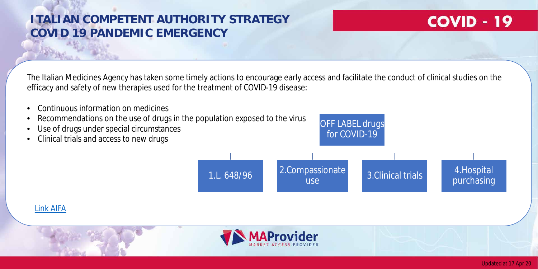The Italian Medicines Agency has taken some timely actions to encourage early access and facilitate the conduct of clinical studies on the efficacy and safety of new therapies used for the treatment of COVID-19 disease:

- Continuous information on medicines
- Recommendations on the use of drugs in the population exposed to the virus
- Use of drugs under special circumstances
- Clinical trials and access to new drugs

## **ITALIAN COMPETENT AUTHORITY STRATEGY COVID 19 PANDEMIC EMERGENCY**



purchasing

### [Link AIFA](https://www.aifa.gov.it/emergenza-covid-19)





Updated at 17 Apr 20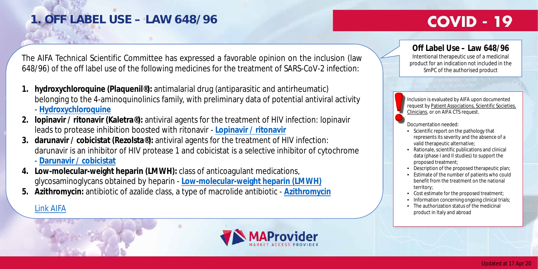### **Off Label Use – Law 648/96**

Intentional therapeutic use of a medicinal product for an indication not included in the SmPC of the authorised product

The AIFA Technical Scientific Committee has expressed a favorable opinion on the inclusion (law 648/96) of the off label use of the following medicines for the treatment of SARS-CoV-2 infection:

- **1. hydroxychloroquine (Plaquenil®):** antimalarial drug (antiparasitic and antirheumatic) belonging to the 4-aminoquinolinics family, with preliminary data of potential antiviral activity - **[Hydroxychloroquine](https://www.aifa.gov.it/documents/20142/0/idrossiclorochina_02.04.2020.pdf/9b4cf710-44ec-3a8e-8493-649d96cfb106)**
- **2. lopinavir / ritonavir (Kaletra®):** antiviral agents for the treatment of HIV infection: lopinavir leads to protease inhibition boosted with ritonavir - **[Lopinavir / ritonavir](https://www.aifa.gov.it/documents/20142/0/lopinavir_ritonavir_02.04.2020.pdf/64b8cf03-acf1-e9fa-80fa-c6d3ecba5f7d)**
- **3. darunavir / cobicistat (Rezolsta®):** antiviral agents for the treatment of HIV infection: darunavir is an inhibitor of HIV protease 1 and cobicistat is a selective inhibitor of cytochrome - **[Darunavir / cobicistat](https://www.aifa.gov.it/documents/20142/0/darunavir_cobicistat_02.04.2020.pdf/bc48fd48-35b1-b0d4-223c-5bd6afb23040)**
- **4. Low-molecular-weight heparin (LMWH):** class of anticoagulant medications, glycosaminoglycans obtained by heparin - **[Low-molecular-weight heparin](https://www.aifa.gov.it/documents/20142/1123276/Eparine_Basso_Peso_Molecolare_11.04.2020.pdf/e30686fb-3f5e-32c9-7c5c-951cc40872f7) (LMWH)**
- **5. Azithromycin:** antibiotic of azalide class, a type of macrolide antibiotic **[Azithromycin](https://www.aifa.gov.it/documents/20142/1123276/azitromicina_08.04.2020.pdf/951fa605-0bf9-3882-ae2f-15128fe97a1b)**



# **COVID - 19**

• Cost estimate for the proposed treatment; • Information concerning ongoing clinical trials; • The authorization status of the medicinal  $\text{Link AlFA} \begin{array}{c} \text{The authorization status of} \ - \text{The authorization status of} \end{array}$ 

Inclusion is evaluated by AIFA upon documented request by Patient Associations, Scientific Societies, Clinicians, or on AIFA CTS request.

Documentation needed:

• Scientific report on the pathology that

represents its severity and the absence of a valid therapeutic alternative;

• Rationale, scientific publications and clinical data (phase I and II studies) to support the proposed treatment;

• Description of the proposed therapeutic plan; • Estimate of the number of patients who could benefit from the treatment on the national territory;

# **1. OFF LABEL USE – LAW 648/96**

### Updated at 17 Apr 20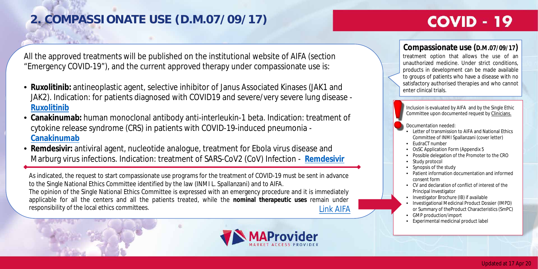All the approved treatments will be published on the institutional website of AIFA (section "Emergency COVID-19"), and the current approved therapy under compassionate use is:

- **Ruxolitinib:** antineoplastic agent, selective inhibitor of Janus Associated Kinases (JAK1 and JAK2). Indication: for patients diagnosed with COVID19 and severe/very severe lung disease - **[Ruxolitinib](https://www.aifa.gov.it/-/covid-19-aggiornamento-programmi-di-uso-terapeutico-compassionevoli)**
- **Canakinumab:** human monoclonal antibody anti-interleukin-1 beta. Indication: treatment of cytokine release syndrome (CRS) in patients with COVID-19-induced pneumonia - **[Canakinumab](https://www.aifa.gov.it/web/guest/-/covid-19-aifa-autorizza-programma-di-uso-compassionevole-con-canakinumab)**
- **Remdesivir:** antiviral agent, nucleotide analogue, treatment for Ebola virus disease and Marburg virus infections. Indication: treatment of SARS-CoV2 (CoV) Infection - **[Remdesivir](https://www.aifa.gov.it/web/guest/-/covid-19-aifa-autorizza-programma-di-uso-compassionevole-con-remdesivir)**

Inclusion is evaluated by AIFA and by the Single Ethic Committee upon documented request by Clinicians.

- Committee of INMI Spallanzani (cover letter)
	-
- OsSC Application Form (Appendix 5
- 
- Documentation needed: • Letter of transmission to AIFA and National Ethics
- EudraCT number
- 
- Possible delegation of the Promoter to the CRO • Study protocol
- Synopsis of the study
- Patient information documentation and informed consent form
- 
- 
- 
- or Summary of theProduct Characteristics (SmPC) • GMP production/import
- Experimental medicinal product label



# **COVID - 19**

- CV and declaration of conflict of interest of the Principal Investigator
- Investigator Brochure (IB) if available
- Investigational Medicinal Product Dossier (IMPD)

As indicated, the request to start compassionate use programs for the treatment of COVID-19 must be sent in advance to the Single National Ethics Committee identified by the law (INMI L. Spallanzani) and to AIFA. The opinion of the Single National Ethics Committee is expressed with an emergency procedure and it is immediately applicable for all the centers and all the patients treated, while the **nominal therapeutic uses** remain under responsibility of the local ethics committees. [Link AIFA](https://www.aifa.gov.it/programmi-di-uso-compassionevole-covid-19)

### **Compassionate use (D.M.07/09/17)**

treatment option that allows the use of an unauthorized medicine. Under strict conditions, products in development can be made available to groups of patients who have a disease with no satisfactory authorised therapies and who cannot enter clinical trials.

# **2. COMPASSIONATE USE (D.M.07/09/17)**

### Updated at 17 Apr 20